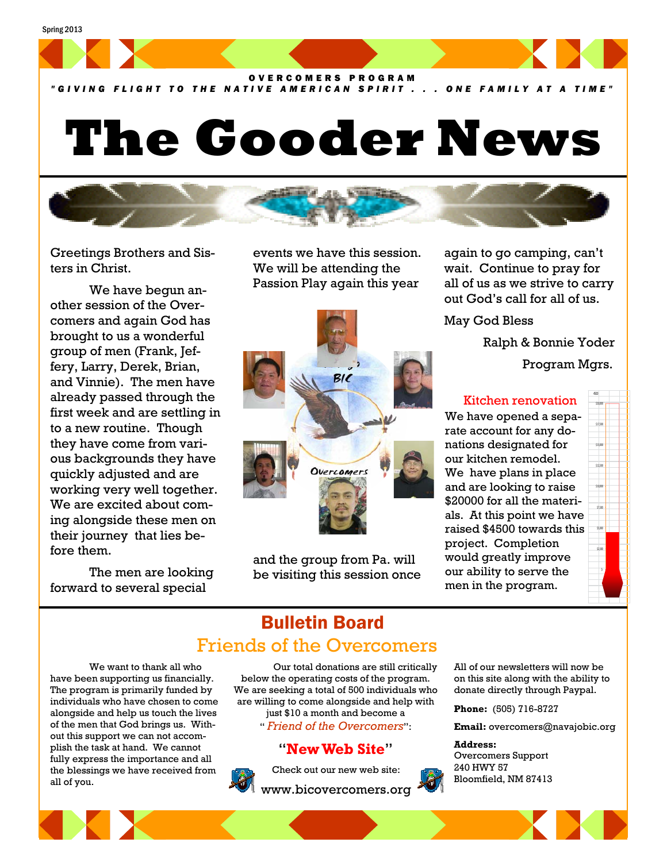

*"GIVING FLIGHT TO THE NATIVE AMERICAN SPIRIT . . . ONE FAMILY AT A TIME"*

# **The Gooder News**



Greetings Brothers and Sisters in Christ.

 We have begun another session of the Overcomers and again God has brought to us a wonderful group of men (Frank, Jeffery, Larry, Derek, Brian, and Vinnie). The men have already passed through the first week and are settling in to a new routine. Though they have come from various backgrounds they have quickly adjusted and are working very well together. We are excited about coming alongside these men on their journey that lies before them.

 The men are looking forward to several special

events we have this session. We will be attending the Passion Play again this year



and the group from Pa. will be visiting this session once again to go camping, can't wait. Continue to pray for all of us as we strive to carry out God's call for all of us.

May God Bless

Ralph & Bonnie Yoder

Program Mgrs.

\$‐ \$2,500

\$15,000 \$17,500 \$20,000

### Kitchen renovation

We have opened a separate account for any donations designated for our kitchen remodel. We have plans in place and are looking to raise \$20000 for all the materials. At this point we have raised \$4500 towards this project. Completion would greatly improve our ability to serve the men in the program.

# Bulletin Board Friends of the Overcomers

 We want to thank all who have been supporting us financially. The program is primarily funded by individuals who have chosen to come alongside and help us touch the lives of the men that God brings us. Without this support we can not accomplish the task at hand. We cannot fully express the importance and all the blessings we have received from all of you.

 Our total donations are still critically below the operating costs of the program. We are seeking a total of 500 individuals who are willing to come alongside and help with just \$10 a month and become a " *Friend of the Overcomers*":

# "**New Web Site**"



Check out our new web site:

www.bicovercomers.org



All of our newsletters will now be on this site along with the ability to donate directly through Paypal.

**Phone:** (505) 716-8727

**Email:** overcomers@navajobic.org

#### **Address:**

Overcomers Support 240 HWY 57 Bloomfield, NM 87413